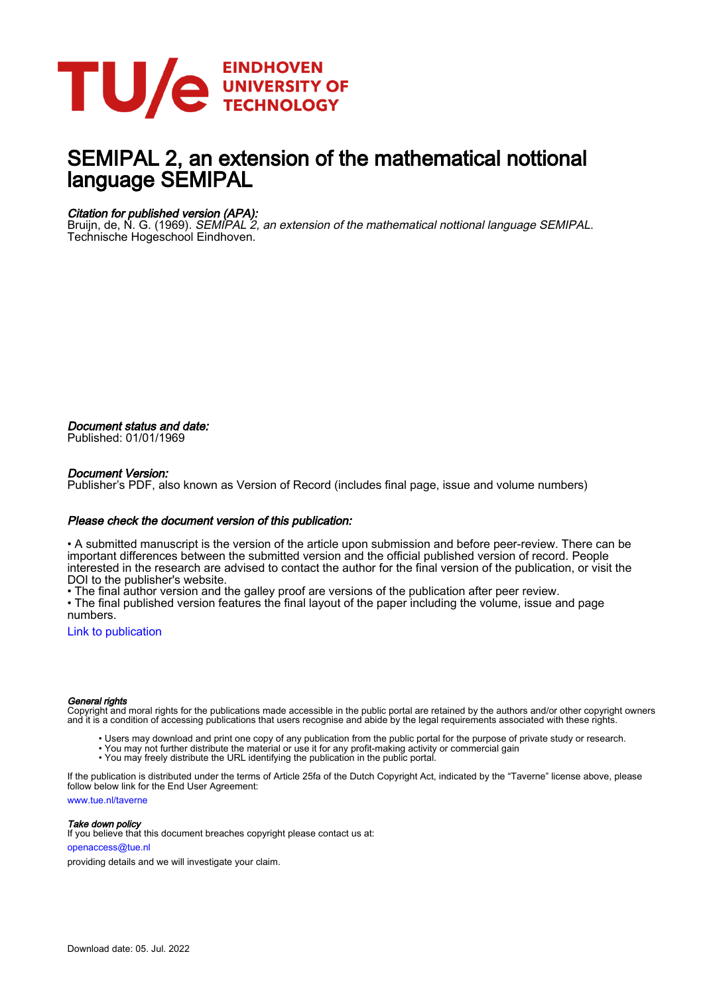

# SEMIPAL 2, an extension of the mathematical nottional language SEMIPAL

#### Citation for published version (APA):

Bruijn, de, N. G. (1969). SEMIPAL 2, an extension of the mathematical nottional language SEMIPAL. Technische Hogeschool Eindhoven.

Document status and date: Published: 01/01/1969

#### Document Version:

Publisher's PDF, also known as Version of Record (includes final page, issue and volume numbers)

#### Please check the document version of this publication:

• A submitted manuscript is the version of the article upon submission and before peer-review. There can be important differences between the submitted version and the official published version of record. People interested in the research are advised to contact the author for the final version of the publication, or visit the DOI to the publisher's website.

• The final author version and the galley proof are versions of the publication after peer review.

• The final published version features the final layout of the paper including the volume, issue and page numbers.

[Link to publication](https://research.tue.nl/en/publications/bcfc3d6e-56eb-4d68-a9e4-f8d1a2dd305f)

#### General rights

Copyright and moral rights for the publications made accessible in the public portal are retained by the authors and/or other copyright owners and it is a condition of accessing publications that users recognise and abide by the legal requirements associated with these rights.

- Users may download and print one copy of any publication from the public portal for the purpose of private study or research.
- You may not further distribute the material or use it for any profit-making activity or commercial gain
- You may freely distribute the URL identifying the publication in the public portal.

If the publication is distributed under the terms of Article 25fa of the Dutch Copyright Act, indicated by the "Taverne" license above, please follow below link for the End User Agreement:

www.tue.nl/taverne

**Take down policy**<br>If you believe that this document breaches copyright please contact us at:

openaccess@tue.nl

providing details and we will investigate your claim.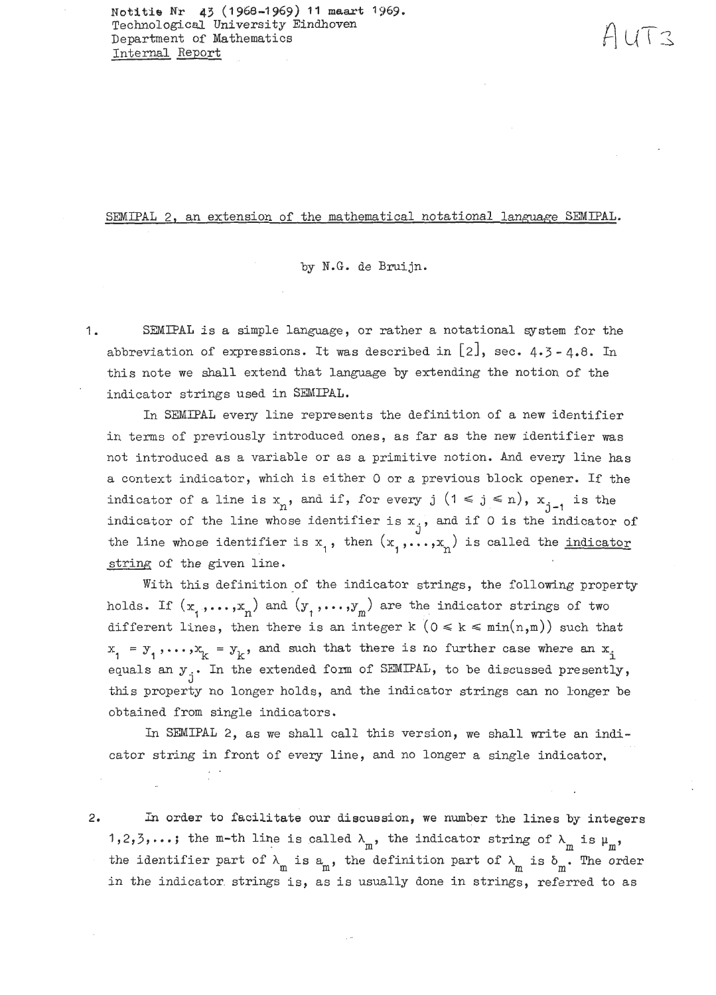**Nat-itfr, Nr 43** *(I* **966-1 969) 11** 1969. Technological University Eindhoven Department of Mathematics Internal Report

SEMIPAL 2, an extension of the mathematical notational language SEMIPAL.

by N.G. de Bruijn.

1. SEMIPAL is a simple language, or rather a notational system for the abbreviation of expressions. It was described in  $[2]$ , sec.  $4.3 - 4.8$ . In this note we shall extend that language by extending the notion of the indicator strings used in SEMIPAL.

In SEMIPAL every line represents the definition of a new identifier in terms of previously introduced ones, as far as the new identifier was not introduced as a variable or as a primitive notion. And every line has a context indicator, which is either 0 or a previous block opener. If the indicator of a line is  $x_n$ , and if, for every j  $(1 \le j \le n)$ ,  $x_{j-1}$  is the indicator of the line whose identifier is  $x_j$ , and if 0 is the indicator of the line whose identifier is  $x_1$ , then  $(x_1, \ldots, x_n)$  is called the <u>indicator</u> string of the given line.

With this definition of the indicator strings, the following property holds. If  $(x_1, \ldots, x_n)$  and  $(y_1, \ldots, y_m)$  are the indicator strings of two different lines, then there is an integer  $k$  ( $0 \le k \le \min(n,m)$ ) such that  $x_1 = y_1, \ldots, x_k = y_k$ , and such that there is no further case where an  $x_i$ equals an  $y_i$ . In the extended form of SEMIPAL, to be discussed presently, this property no longer holds, and the indicator strings can no longer be obtained from single indicators,

In SEMIPAL 2, as we shall call this version, we shall write an indicator string in front of every line, and no longer a single indicator, . .

2. In order to facilitate our discuasion, we **number** the lines by integers 1,2,3,...; the m-th line is called  $\lambda_{m}$ , the indicator string of  $\lambda_{m}$  is  $\mu_{m}$ , the identifier part of  $\lambda_m$  is  $a_m$ , the definition part of  $\lambda_m$  is  $\delta_m$ . The order in the indicator strings is, as is usually done in strings, referred to as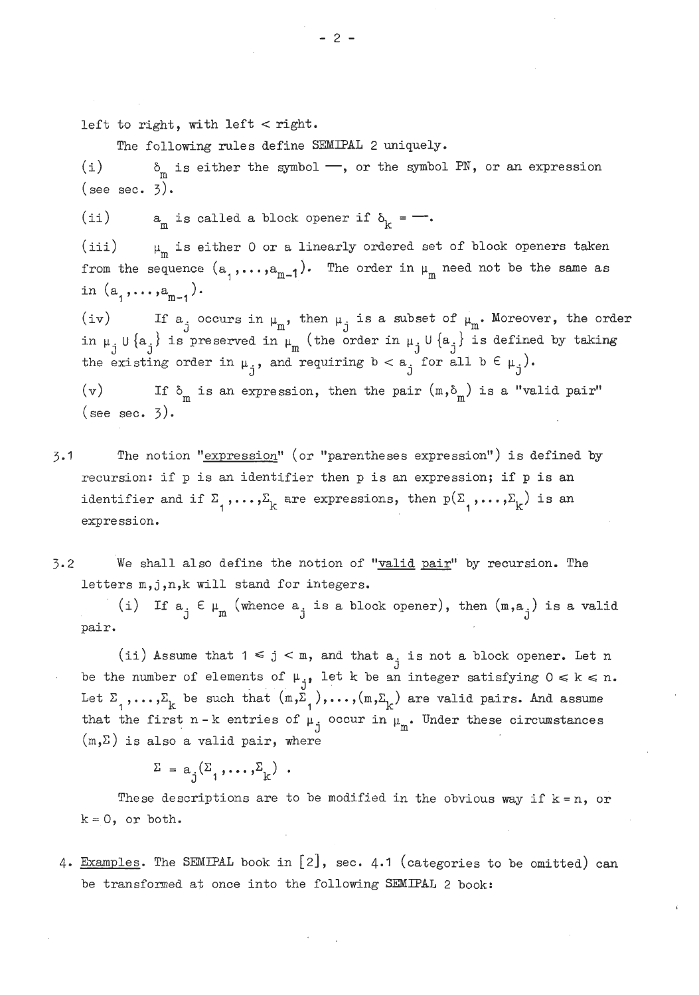left to right, with left  $\lt$  right.

The following rules define SEMIPAL 2 uniquely.

(i)  $\delta_m$  is either the symbol  $\rightarrow$ , or the symbol PN, or an expression  $(see sec. 3).$ 

ii) a is called a block opener if  $\delta_k$  =  $-$ .

iii)  $\mu_{\rm m}$  is either 0 or a linearly ordered set of block openers taken from the sequence  $(a_1, ..., a_{m-1})$ . The order in  $\mu_m$  need not be the same as in  $(a_1, \ldots, a_{m-1})$ .

iv) If  $a_j$  occurs in  $\mu_m$ , then  $\mu_j$  is a subset of  $\mu_m$ . Moreover, the order (iv) If  $a_j$  occurs in  $\mu_m$ , then  $\mu_j$  is a subset of  $\mu_m$ . Moreover, the order in  $\mu_{jj} \cup \{a_j\}$  is preserved in  $\mu_m$  (the order in  $\mu_{jj} \cup \{a_j\}$  is defined by taking the existing order in  $\mu_j$ , and requiring  $b < a_j$  for all  $b \in \mu_j$ ).

(v) If  $\delta_m$  is an expression, then the pair  $(m, \delta_m)$  is a "valid pair" (see sec.  $3$ ).

- 3.1 The notion "expression" (or "parentheses expression") is defined by recursion: if p is an identifier then p is an expression; if p is an ecursion: if p is an identifier then p is an expression; if p is an<br>dentifier and if  $\Sigma_1$ ,..., $\Sigma_{\rm k}$  are expressions, then  ${\tt p}(\Sigma_1, \ldots, \Sigma_{\rm k})$  is an expression.
- $3.2$  We shall also define the notion of "valid pair" by recursion. The letters m, j, n, k will stand for integers.

i) If  $a_j \in \mu_m$  (whence  $a_j$  is a block opener), then  $(m, a_j)$  is a valid pair.

ii) Assume that  $1 \leq j < m$ , and that  $a_j$  is not a block opener. Let n be the number of elements of  $\mu_{i}$ , let k be an integer satisfying  $0 \le k \le n$ . et  $\Sigma_1$ ,..., $\Sigma_k$  be such that  $(m, \Sigma_1)$ ,..., $(m, \Sigma_k)$  are valid pairs. And assume that the first n-k entries of  $\mu_j$  occur in  $\mu_m$ . Under these circumstances  $(m,\Sigma)$  is also a valid pair, where

 $\Sigma = a_{i}(\Sigma_{1}, \ldots, \Sigma_{k})$ .

These descriptions are to be modified in the obvious way if  $k = n$ , or  $k = 0$ , or both.

4. Examples. The SEMIPAL book in [2], sec. 4.1 (categories to be omitted) can be transformed at once into the following SEMIPAL 2 book:

 $-2-$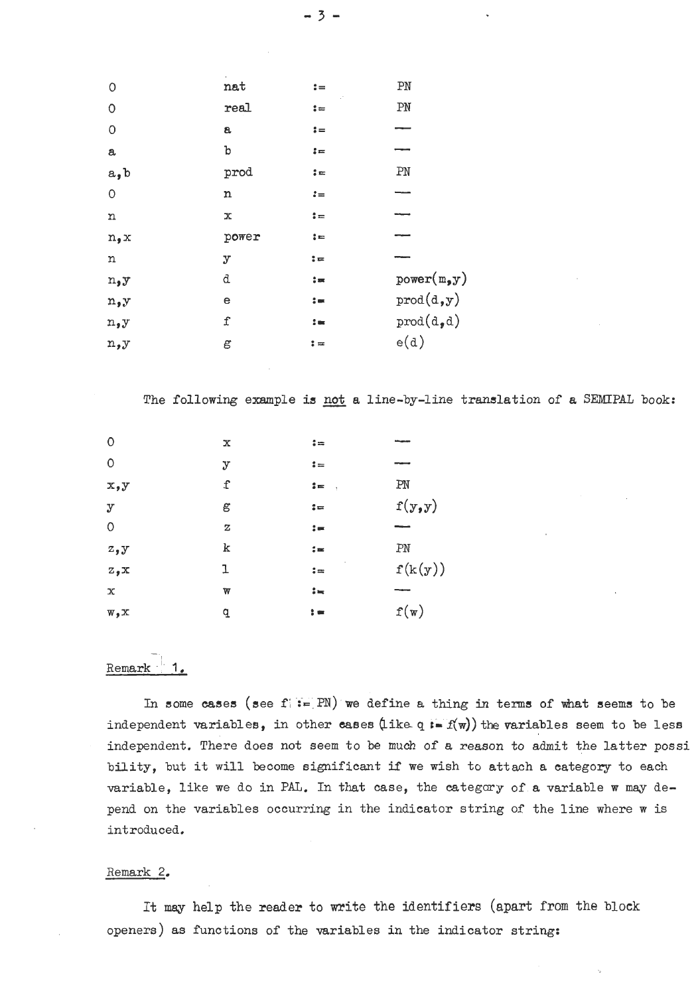| $\circ$     | nat         | $:=$                  | PN                                     |
|-------------|-------------|-----------------------|----------------------------------------|
| $\circ$     | real        | $\mathrel{\mathop:}=$ | PN                                     |
| $\circ$     | a           | $:=$                  |                                        |
| a           | b           | $\mathbf{I} =$        |                                        |
| a, b        | prod        | $\mathbf{L}$          | PN                                     |
| $\mathsf O$ | n           | $:=$                  |                                        |
| n           | $\mathbf x$ | $\mathbf{G}$          |                                        |
| n, x        | power       | $:=$                  |                                        |
| n           | y           | $: =$                 |                                        |
| n, y        | d           | $\frac{1}{2}$ and     | power(m, y)                            |
| n, y        | е           | $\mathbf{S} =$        | $\texttt{prod}(\texttt{d},\texttt{y})$ |
| n, y        | f           | $\mathbf{1}$          | $prod(d_{\bullet}d)$                   |
| n,y         | g           | $\mathbf{L} =$        | e(d)                                   |

The following example is not a line-by-line translation of a SEMIPAL book:

| $\circ$      | x           | $\mathbf{1}$ =   |         |
|--------------|-------------|------------------|---------|
| $\circ$      | $\mathbf y$ | $\mathbf{L} =$   | ---     |
| x, y         | f           | $\mathbf{z} = 0$ | PN      |
| $\mathbf{y}$ | g           | $\mathfrak{p}$   | f(y,y)  |
| $\circ$      | Z           | $\mathbf{S} =$   |         |
| z, y         | k           | $\sharp$ m       | PN      |
| z, x         | ı           | $\mathbf{G} =$   | f(k(y)) |
| $\mathbf x$  | W           | $:=$             |         |
| $W \cdot X$  | a           | $\mathbf{r}$     | f(w)    |

## -- Remark 1.

In some cases (see  $f_i := PN$ ) we define a thing in terms of what seems to be independent variables, in other cases  $(i \times q) = f(w)$  the variables seem to be less independent. There does not seem to be **much** of a reason to admit the latter possi bility, but it will become significant if we wish to attach a category to each variable, like we do in **PAL.** In that case, the categary of a variable w may depend on the variables occurring in the indicator string of the line where w is introduced.

#### Remark 2.

It may help the reader to write the identifiers (apart from the block openers) as functions of the variables in the indicator string: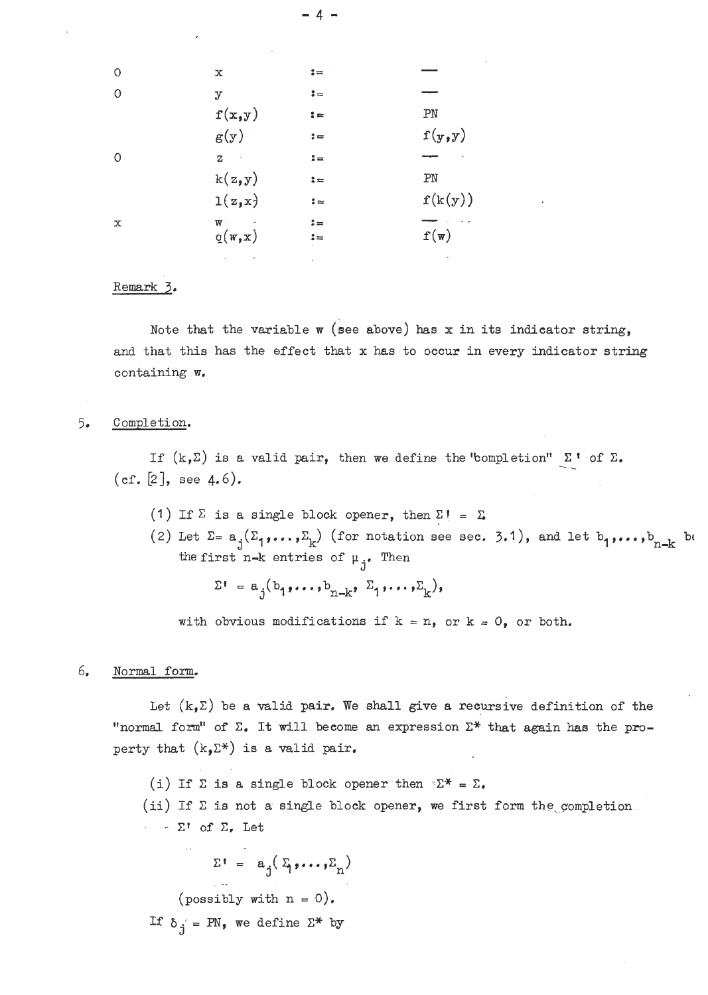| $\circ$ | х            | $:=$                   |                 |
|---------|--------------|------------------------|-----------------|
| $\circ$ | $\mathbf{y}$ | $:=$                   |                 |
|         | f(x,y)       | $\mathbf{1}$           | PN              |
|         | g(y)         | $\mathfrak{z} =$       | f(y,y)          |
| $\circ$ | $\mathbf z$  | $\frac{1}{2}$ $\equiv$ |                 |
|         | k(z, y)      | $: =$                  | PN              |
|         | 1(z,x)       | $:=$                   | f(k(y))         |
| х       | $W$ .        | $:=$                   |                 |
|         | q(w, x)      | $\mathbf{L} =$         | $f(\mathbf{w})$ |
|         |              |                        |                 |

4 -

#### Remark **3.**

Note that the variable w (see above) has **x** in its indicator string, and that this has the effect that x has to occur in every indicator string containing w.

### 5. Completion.

If  $(k,\Sigma)$  is a valid pair, then we define the "completion"  $\Sigma$ <sup>*8*</sup> of  $\Sigma$ . (cf. [2], see 4.6).

- (1) If  $\Sigma$  is a single block opener, then  $\Sigma$ **!** =  $\Sigma$
- () II  $\omega$  is a single block opener, then  $\omega$ ! =  $\omega$ <br>
(2) Let  $\Sigma = a_j(\Sigma_1, \ldots, \Sigma_k)$  (for notation see sec. 3.1), and let  $b_1, \ldots, b_{n-k}$  be the first n-k entries of  $\mu_j$ . Then<br>  $\Sigma^{\dagger} = a_j(b_1, \ldots, b_{n-k}, \Sigma_1, \ldots, \Sigma_k),$

with obvious modifications if  $k = n$ , or  $k = 0$ , or both.

#### 6. Normal form.

Let  $(k, \Sigma)$  be a valid pair. We shall give a recursive definition of the "normal form" of **C.** It will become an expression C\* that again **has** the property that  $(k, \Sigma^*)$  is a valid pair.

(i) If  $\Sigma$  is a single block opener then  $\Sigma^* = \Sigma$ .

(ii) If  $\Sigma$  is not a single block opener, we first form the completion. - - **XI** of **C.** Let

 $\Sigma^{\dagger} = a_{j}(\Sigma_{j},...,\Sigma_{n})$ 

(possibly with  $n = 0$ ).

If  $\delta_j = PN$ , we define  $\Sigma^*$  by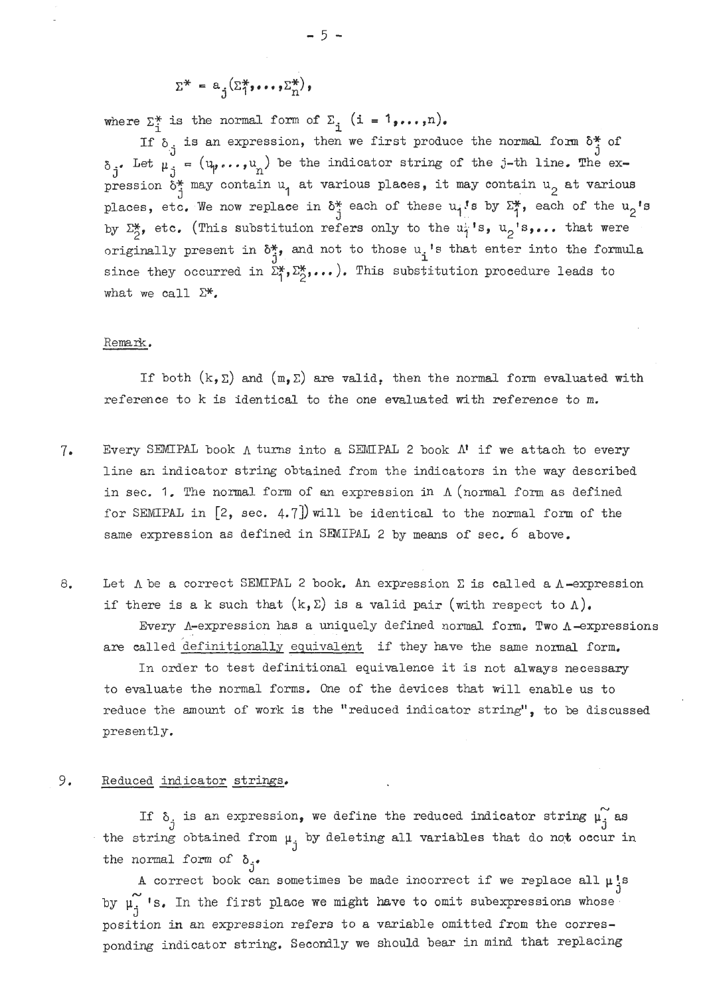$$
\Sigma^* = a_j(\Sigma_1^*, \ldots, \Sigma_n^*)
$$

where  $\Sigma_{i}^{*}$  is the normal form of  $\Sigma_{i}$  (i =  $1, ..., n$ ).<br>If  $\delta_{i}$  is an expression, then we first produce the normal form  $\delta_{i}^{*}$  of  $\delta_j$  Let  $\mu_j = (u_p \dots, u_n)$  be the indicator string of the j-th line. The expression  $\delta^*$  may contain u<sub>1</sub> at various places, it may contain u<sub>2</sub> at various places, etc. We now replace in  $\delta^*_{\vec{1}}$  each of these  $u_i$ 's by  $\Sigma^*_{\vec{1}}$ , each of the  $u_2$ 's by  $\Sigma_2^*$ , etc. (This substituion refers only to the  $u_j^*$ 's,  $u_2$ 's,... that were originally present in  $\delta^*$ , and not to those u<sub>.</sub>'s that enter into the formula since they occurred in  $\Sigma_1^*, \Sigma_2^*, \ldots$ ). This substitution procedure leads to what we call  $\Sigma^*$ .

#### Remark.

If both  $(k, \Sigma)$  and  $(m, \Sigma)$  are valid, then the normal form evaluated with reference to k is identical to the one evaluated with reference to m.

- $7.$  Every SEMIPAL book  $\Lambda$  turns into a SEMIPAL 2 book  $\Lambda$ <sup>t</sup> if we attach to every line an indicator string obtained from the indicators in the way described in sec. 1. The normal form of an expression in  $\Lambda$  (normal form as defined for SEMIPAL in [2, sec. 4.7]) will be identical to the normal form of the same expression as defined in SENIPAL 2 by means of sec. 6 **above,**
- 8. Let  $\Lambda$  be a correct SEMIPAL 2 book. An expression  $\Sigma$  is called a  $\Lambda$ -expression if there is a k such that  $(k, \Sigma)$  is a valid pair (with respect to  $\Lambda$ ).

Every  $\Lambda$ -expression has a uniquely defined normal form. Two  $\Lambda$ -expressions are called definitionally equivalent if they have the same normal form.

In order to test definitional equivalence it is not always necessary to evaluate the normal forms, One of the devices that will enable us to reduce the amount of work is the "reduced indicator string", to be discussed presently.

#### 9, Reduced indicator strings,

If  $\delta_j$  is an expression, we define the reduced indicator string  $\mu_j$  as the string obtained from  $\mu_j$  by deleting all variables that do not occur in

the normal form of  $\delta_j$ .<br>A correct book can sometimes be made incorrect if we replace all  $\mu_j^{\text{ts}}$ by  $\mu_j^{\sim}$  's. In the first place we might have to omit subexpressions whose position in an expression refers to a variable omitted from the corresponding indicator string. Secondly **we** should bear in mind that replacing